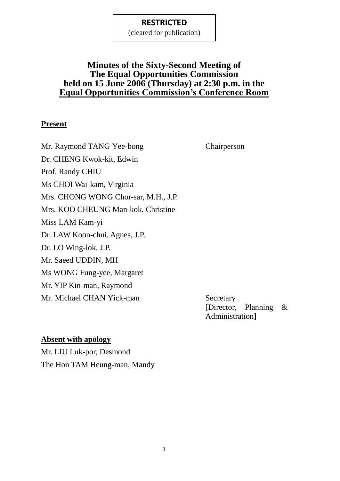(cleared for publication)

## **Minutes of the Sixty-Second Meeting of The Equal Opportunities Commission held on 15 June 2006 (Thursday) at 2:30 p.m. in the Equal Opportunities Commission's Conference Room**

## **Present**

Mr. Raymond TANG Yee-bong Chairperson Dr. CHENG Kwok-kit, Edwin Prof. Randy CHIU Ms CHOI Wai-kam, Virginia Mrs. CHONG WONG Chor-sar, M.H., J.P. Mrs. KOO CHEUNG Man-kok, Christine Miss LAM Kam-yi Dr. LAW Koon-chui, Agnes, J.P. Dr. LO Wing-lok, J.P. Mr. Saeed UDDIN, MH Ms WONG Fung-yee, Margaret Mr. YIP Kin-man, Raymond Mr. Michael CHAN Yick-man Secretary

[Director, Planning & Administration]

#### **Absent with apology**

Mr. LIU Luk-por, Desmond The Hon TAM Heung-man, Mandy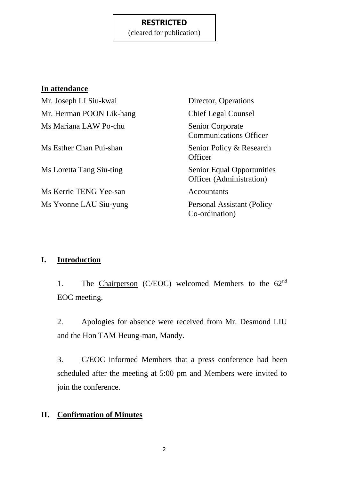(cleared for publication)

### **In attendance**

Mr. Joseph LI Siu-kwai Director, Operations Mr. Herman POON Lik-hang Chief Legal Counsel Ms Mariana LAW Po-chu Senior Corporate

Ms Kerrie TENG Yee-san Accountants Ms Yvonne LAU Siu-yung Personal Assistant (Policy

Communications Officer Ms Esther Chan Pui-shan Senior Policy & Research **Officer** Ms Loretta Tang Siu-ting Senior Equal Opportunities Officer (Administration)

Co-ordination)

## **I. Introduction**

1. The Chairperson (C/EOC) welcomed Members to the  $62<sup>nd</sup>$ EOC meeting.

2. Apologies for absence were received from Mr. Desmond LIU and the Hon TAM Heung-man, Mandy.

3. C/EOC informed Members that a press conference had been scheduled after the meeting at 5:00 pm and Members were invited to join the conference.

## **II. Confirmation of Minutes**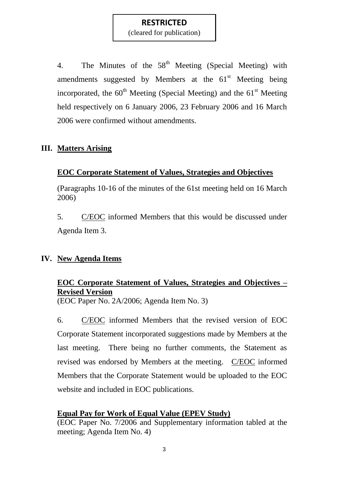4. The Minutes of the  $58<sup>th</sup>$  Meeting (Special Meeting) with amendments suggested by Members at the  $61<sup>st</sup>$  Meeting being incorporated, the  $60<sup>th</sup>$  Meeting (Special Meeting) and the  $61<sup>st</sup>$  Meeting held respectively on 6 January 2006, 23 February 2006 and 16 March 2006 were confirmed without amendments.

## **III. Matters Arising**

## **EOC Corporate Statement of Values, Strategies and Objectives**

(Paragraphs 10-16 of the minutes of the 61st meeting held on 16 March 2006)

5. C/EOC informed Members that this would be discussed under Agenda Item 3.

## **IV. New Agenda Items**

# **EOC Corporate Statement of Values, Strategies and Objectives – Revised Version**

(EOC Paper No. 2A/2006; Agenda Item No. 3)

6. C/EOC informed Members that the revised version of EOC Corporate Statement incorporated suggestions made by Members at the last meeting. There being no further comments, the Statement as revised was endorsed by Members at the meeting. C/EOC informed Members that the Corporate Statement would be uploaded to the EOC website and included in EOC publications.

## **Equal Pay for Work of Equal Value (EPEV Study)**

(EOC Paper No. 7/2006 and Supplementary information tabled at the meeting; Agenda Item No. 4)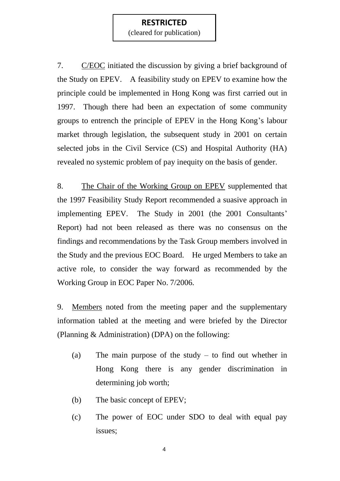(cleared for publication)

7. C/EOC initiated the discussion by giving a brief background of the Study on EPEV. A feasibility study on EPEV to examine how the principle could be implemented in Hong Kong was first carried out in 1997. Though there had been an expectation of some community groups to entrench the principle of EPEV in the Hong Kong's labour market through legislation, the subsequent study in 2001 on certain selected jobs in the Civil Service (CS) and Hospital Authority (HA) revealed no systemic problem of pay inequity on the basis of gender.

8. The Chair of the Working Group on EPEV supplemented that the 1997 Feasibility Study Report recommended a suasive approach in implementing EPEV. The Study in 2001 (the 2001 Consultants' Report) had not been released as there was no consensus on the findings and recommendations by the Task Group members involved in the Study and the previous EOC Board. He urged Members to take an active role, to consider the way forward as recommended by the Working Group in EOC Paper No. 7/2006.

9. Members noted from the meeting paper and the supplementary information tabled at the meeting and were briefed by the Director (Planning & Administration) (DPA) on the following:

- (a) The main purpose of the study to find out whether in Hong Kong there is any gender discrimination in determining job worth;
- (b) The basic concept of EPEV;
- (c) The power of EOC under SDO to deal with equal pay issues;

4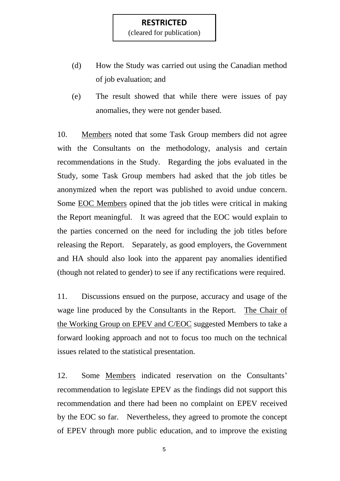(cleared for publication)

- (d) How the Study was carried out using the Canadian method of job evaluation; and
- (e) The result showed that while there were issues of pay anomalies, they were not gender based.

10. Members noted that some Task Group members did not agree with the Consultants on the methodology, analysis and certain recommendations in the Study. Regarding the jobs evaluated in the Study, some Task Group members had asked that the job titles be anonymized when the report was published to avoid undue concern. Some EOC Members opined that the job titles were critical in making the Report meaningful. It was agreed that the EOC would explain to the parties concerned on the need for including the job titles before releasing the Report. Separately, as good employers, the Government and HA should also look into the apparent pay anomalies identified (though not related to gender) to see if any rectifications were required.

11. Discussions ensued on the purpose, accuracy and usage of the wage line produced by the Consultants in the Report. The Chair of the Working Group on EPEV and C/EOC suggested Members to take a forward looking approach and not to focus too much on the technical issues related to the statistical presentation.

12. Some Members indicated reservation on the Consultants' recommendation to legislate EPEV as the findings did not support this recommendation and there had been no complaint on EPEV received by the EOC so far. Nevertheless, they agreed to promote the concept of EPEV through more public education, and to improve the existing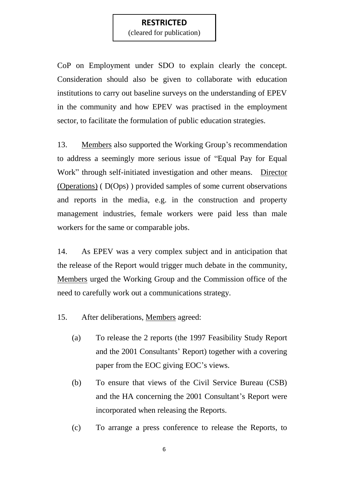CoP on Employment under SDO to explain clearly the concept. Consideration should also be given to collaborate with education institutions to carry out baseline surveys on the understanding of EPEV in the community and how EPEV was practised in the employment sector, to facilitate the formulation of public education strategies.

13. Members also supported the Working Group's recommendation to address a seemingly more serious issue of "Equal Pay for Equal Work" through self-initiated investigation and other means. Director (Operations) ( D(Ops) ) provided samples of some current observations and reports in the media, e.g. in the construction and property management industries, female workers were paid less than male workers for the same or comparable jobs.

14. As EPEV was a very complex subject and in anticipation that the release of the Report would trigger much debate in the community, Members urged the Working Group and the Commission office of the need to carefully work out a communications strategy.

- 15. After deliberations, Members agreed:
	- (a) To release the 2 reports (the 1997 Feasibility Study Report and the 2001 Consultants' Report) together with a covering paper from the EOC giving EOC's views.
	- (b) To ensure that views of the Civil Service Bureau (CSB) and the HA concerning the 2001 Consultant's Report were incorporated when releasing the Reports.
	- (c) To arrange a press conference to release the Reports, to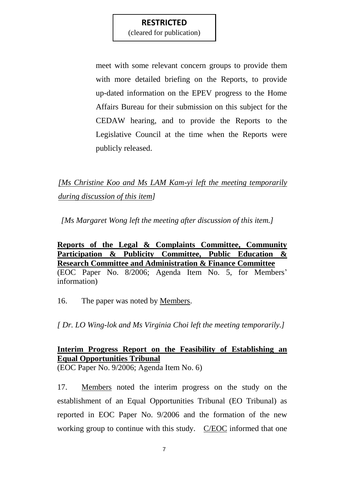meet with some relevant concern groups to provide them with more detailed briefing on the Reports, to provide up-dated information on the EPEV progress to the Home Affairs Bureau for their submission on this subject for the CEDAW hearing, and to provide the Reports to the Legislative Council at the time when the Reports were publicly released.

*[Ms Christine Koo and Ms LAM Kam-yi left the meeting temporarily during discussion of this item]*

*[Ms Margaret Wong left the meeting after discussion of this item.]*

**Reports of the Legal & Complaints Committee, Community Participation & Publicity Committee, Public Education & Research Committee and Administration & Finance Committee** (EOC Paper No. 8/2006; Agenda Item No. 5, for Members' information)

16. The paper was noted by Members.

*[ Dr. LO Wing-lok and Ms Virginia Choi left the meeting temporarily.]*

# **Interim Progress Report on the Feasibility of Establishing an Equal Opportunities Tribunal**

(EOC Paper No. 9/2006; Agenda Item No. 6)

17. Members noted the interim progress on the study on the establishment of an Equal Opportunities Tribunal (EO Tribunal) as reported in EOC Paper No. 9/2006 and the formation of the new working group to continue with this study. C/EOC informed that one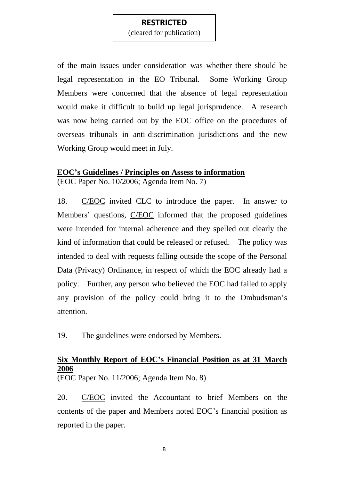of the main issues under consideration was whether there should be legal representation in the EO Tribunal. Some Working Group Members were concerned that the absence of legal representation would make it difficult to build up legal jurisprudence. A research was now being carried out by the EOC office on the procedures of overseas tribunals in anti-discrimination jurisdictions and the new Working Group would meet in July.

## **EOC's Guidelines / Principles on Assess to information**

(EOC Paper No. 10/2006; Agenda Item No. 7)

18. C/EOC invited CLC to introduce the paper. In answer to Members' questions, C/EOC informed that the proposed guidelines were intended for internal adherence and they spelled out clearly the kind of information that could be released or refused. The policy was intended to deal with requests falling outside the scope of the Personal Data (Privacy) Ordinance, in respect of which the EOC already had a policy. Further, any person who believed the EOC had failed to apply any provision of the policy could bring it to the Ombudsman's attention.

19. The guidelines were endorsed by Members.

# **Six Monthly Report of EOC's Financial Position as at 31 March 2006**

(EOC Paper No. 11/2006; Agenda Item No. 8)

20. C/EOC invited the Accountant to brief Members on the contents of the paper and Members noted EOC's financial position as reported in the paper.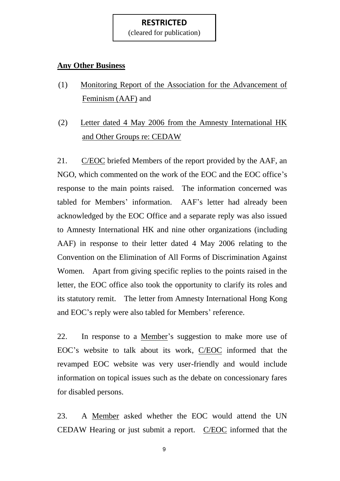(cleared for publication)

#### **Any Other Business**

- (1) Monitoring Report of the Association for the Advancement of Feminism (AAF) and
- (2) Letter dated 4 May 2006 from the Amnesty International HK and Other Groups re: CEDAW

21. C/EOC briefed Members of the report provided by the AAF, an NGO, which commented on the work of the EOC and the EOC office's response to the main points raised. The information concerned was tabled for Members' information. AAF's letter had already been acknowledged by the EOC Office and a separate reply was also issued to Amnesty International HK and nine other organizations (including AAF) in response to their letter dated 4 May 2006 relating to the Convention on the Elimination of All Forms of Discrimination Against Women. Apart from giving specific replies to the points raised in the letter, the EOC office also took the opportunity to clarify its roles and its statutory remit. The letter from Amnesty International Hong Kong and EOC's reply were also tabled for Members' reference.

22. In response to a Member's suggestion to make more use of EOC's website to talk about its work*,* C/EOC informed that the revamped EOC website was very user-friendly and would include information on topical issues such as the debate on concessionary fares for disabled persons.

23. A Member asked whether the EOC would attend the UN CEDAW Hearing or just submit a report. C/EOC informed that the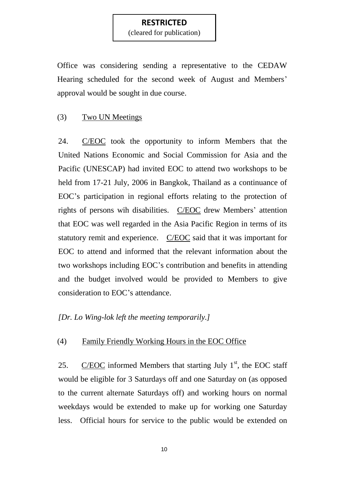Office was considering sending a representative to the CEDAW Hearing scheduled for the second week of August and Members' approval would be sought in due course.

## (3) Two UN Meetings

24. C/EOC took the opportunity to inform Members that the United Nations Economic and Social Commission for Asia and the Pacific (UNESCAP) had invited EOC to attend two workshops to be held from 17-21 July, 2006 in Bangkok, Thailand as a continuance of EOC's participation in regional efforts relating to the protection of rights of persons wih disabilities. C/EOC drew Members' attention that EOC was well regarded in the Asia Pacific Region in terms of its statutory remit and experience. C/EOC said that it was important for EOC to attend and informed that the relevant information about the two workshops including EOC's contribution and benefits in attending and the budget involved would be provided to Members to give consideration to EOC's attendance.

## *[Dr. Lo Wing-lok left the meeting temporarily.]*

## (4) Family Friendly Working Hours in the EOC Office

25. C/EOC informed Members that starting July  $1<sup>st</sup>$ , the EOC staff would be eligible for 3 Saturdays off and one Saturday on (as opposed to the current alternate Saturdays off) and working hours on normal weekdays would be extended to make up for working one Saturday less. Official hours for service to the public would be extended on